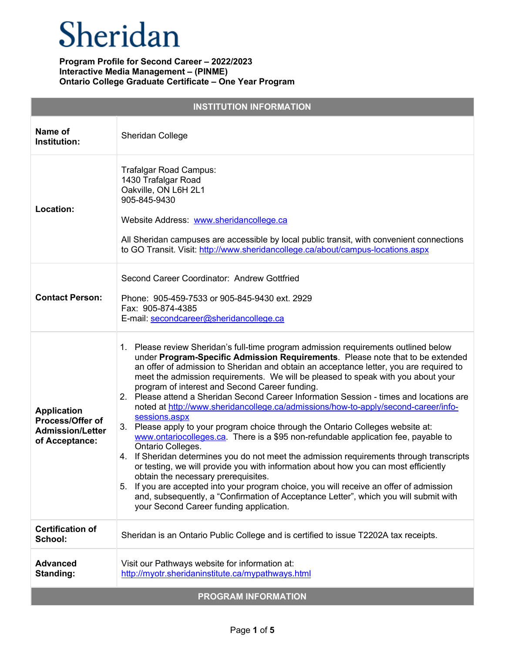| <b>INSTITUTION INFORMATION</b>                                                             |                                                                                                                                                                                                                                                                                                                                                                                                                                                                                                                                                                                                                                                                                                                                                                                                                                                                                                                                                                                                                                                                                                                                                                                                                                                               |  |
|--------------------------------------------------------------------------------------------|---------------------------------------------------------------------------------------------------------------------------------------------------------------------------------------------------------------------------------------------------------------------------------------------------------------------------------------------------------------------------------------------------------------------------------------------------------------------------------------------------------------------------------------------------------------------------------------------------------------------------------------------------------------------------------------------------------------------------------------------------------------------------------------------------------------------------------------------------------------------------------------------------------------------------------------------------------------------------------------------------------------------------------------------------------------------------------------------------------------------------------------------------------------------------------------------------------------------------------------------------------------|--|
| Name of<br>Institution:                                                                    | Sheridan College                                                                                                                                                                                                                                                                                                                                                                                                                                                                                                                                                                                                                                                                                                                                                                                                                                                                                                                                                                                                                                                                                                                                                                                                                                              |  |
| Location:                                                                                  | Trafalgar Road Campus:<br>1430 Trafalgar Road<br>Oakville, ON L6H 2L1<br>905-845-9430<br>Website Address: www.sheridancollege.ca<br>All Sheridan campuses are accessible by local public transit, with convenient connections<br>to GO Transit. Visit: http://www.sheridancollege.ca/about/campus-locations.aspx                                                                                                                                                                                                                                                                                                                                                                                                                                                                                                                                                                                                                                                                                                                                                                                                                                                                                                                                              |  |
| <b>Contact Person:</b>                                                                     | Second Career Coordinator: Andrew Gottfried<br>Phone: 905-459-7533 or 905-845-9430 ext. 2929<br>Fax: 905-874-4385<br>E-mail: secondcareer@sheridancollege.ca                                                                                                                                                                                                                                                                                                                                                                                                                                                                                                                                                                                                                                                                                                                                                                                                                                                                                                                                                                                                                                                                                                  |  |
| <b>Application</b><br><b>Process/Offer of</b><br><b>Admission/Letter</b><br>of Acceptance: | 1. Please review Sheridan's full-time program admission requirements outlined below<br>under Program-Specific Admission Requirements. Please note that to be extended<br>an offer of admission to Sheridan and obtain an acceptance letter, you are required to<br>meet the admission requirements. We will be pleased to speak with you about your<br>program of interest and Second Career funding.<br>2. Please attend a Sheridan Second Career Information Session - times and locations are<br>noted at http://www.sheridancollege.ca/admissions/how-to-apply/second-career/info-<br>sessions.aspx<br>3. Please apply to your program choice through the Ontario Colleges website at:<br>www.ontariocolleges.ca. There is a \$95 non-refundable application fee, payable to<br>Ontario Colleges.<br>4. If Sheridan determines you do not meet the admission requirements through transcripts<br>or testing, we will provide you with information about how you can most efficiently<br>obtain the necessary prerequisites.<br>5. If you are accepted into your program choice, you will receive an offer of admission<br>and, subsequently, a "Confirmation of Acceptance Letter", which you will submit with<br>your Second Career funding application. |  |
| <b>Certification of</b><br>School:                                                         | Sheridan is an Ontario Public College and is certified to issue T2202A tax receipts.                                                                                                                                                                                                                                                                                                                                                                                                                                                                                                                                                                                                                                                                                                                                                                                                                                                                                                                                                                                                                                                                                                                                                                          |  |
| <b>Advanced</b><br>Standing:                                                               | Visit our Pathways website for information at:<br>http://myotr.sheridaninstitute.ca/mypathways.html                                                                                                                                                                                                                                                                                                                                                                                                                                                                                                                                                                                                                                                                                                                                                                                                                                                                                                                                                                                                                                                                                                                                                           |  |
| <b>PROGRAM INFORMATION</b>                                                                 |                                                                                                                                                                                                                                                                                                                                                                                                                                                                                                                                                                                                                                                                                                                                                                                                                                                                                                                                                                                                                                                                                                                                                                                                                                                               |  |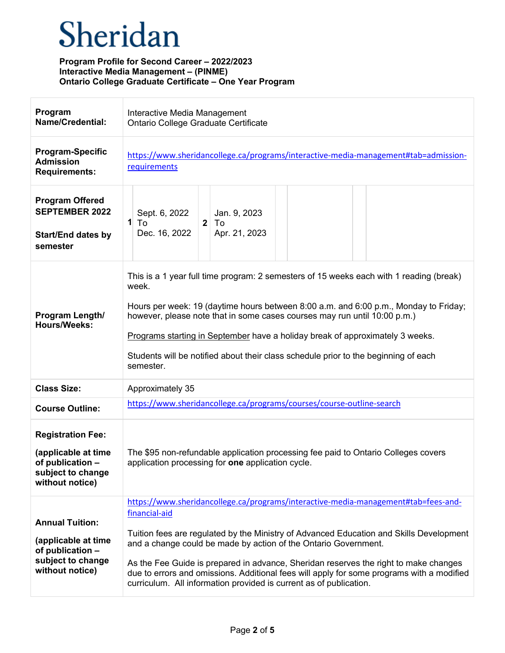| Program<br><b>Name/Credential:</b>                                                                          | Interactive Media Management<br>Ontario College Graduate Certificate                                                                                                                                                                                                                                                                                                                                                                                                                                                         |
|-------------------------------------------------------------------------------------------------------------|------------------------------------------------------------------------------------------------------------------------------------------------------------------------------------------------------------------------------------------------------------------------------------------------------------------------------------------------------------------------------------------------------------------------------------------------------------------------------------------------------------------------------|
| <b>Program-Specific</b><br><b>Admission</b><br><b>Requirements:</b>                                         | https://www.sheridancollege.ca/programs/interactive-media-management#tab=admission-<br>requirements                                                                                                                                                                                                                                                                                                                                                                                                                          |
| <b>Program Offered</b><br><b>SEPTEMBER 2022</b><br><b>Start/End dates by</b><br>semester                    | Jan. 9, 2023<br>Sept. 6, 2022<br>1<br>$\overline{2}$<br>To<br>To<br>Dec. 16, 2022<br>Apr. 21, 2023                                                                                                                                                                                                                                                                                                                                                                                                                           |
| Program Length/<br><b>Hours/Weeks:</b>                                                                      | This is a 1 year full time program: 2 semesters of 15 weeks each with 1 reading (break)<br>week.<br>Hours per week: 19 (daytime hours between 8:00 a.m. and 6:00 p.m., Monday to Friday;<br>however, please note that in some cases courses may run until 10:00 p.m.)<br>Programs starting in September have a holiday break of approximately 3 weeks.<br>Students will be notified about their class schedule prior to the beginning of each<br>semester.                                                                   |
| <b>Class Size:</b>                                                                                          | Approximately 35                                                                                                                                                                                                                                                                                                                                                                                                                                                                                                             |
| <b>Course Outline:</b>                                                                                      | https://www.sheridancollege.ca/programs/courses/course-outline-search                                                                                                                                                                                                                                                                                                                                                                                                                                                        |
| <b>Registration Fee:</b><br>(applicable at time<br>of publication -<br>subject to change<br>without notice) | The \$95 non-refundable application processing fee paid to Ontario Colleges covers<br>application processing for one application cycle.                                                                                                                                                                                                                                                                                                                                                                                      |
| <b>Annual Tuition:</b><br>(applicable at time<br>of publication -<br>subject to change<br>without notice)   | https://www.sheridancollege.ca/programs/interactive-media-management#tab=fees-and-<br>financial-aid<br>Tuition fees are regulated by the Ministry of Advanced Education and Skills Development<br>and a change could be made by action of the Ontario Government.<br>As the Fee Guide is prepared in advance, Sheridan reserves the right to make changes<br>due to errors and omissions. Additional fees will apply for some programs with a modified<br>curriculum. All information provided is current as of publication. |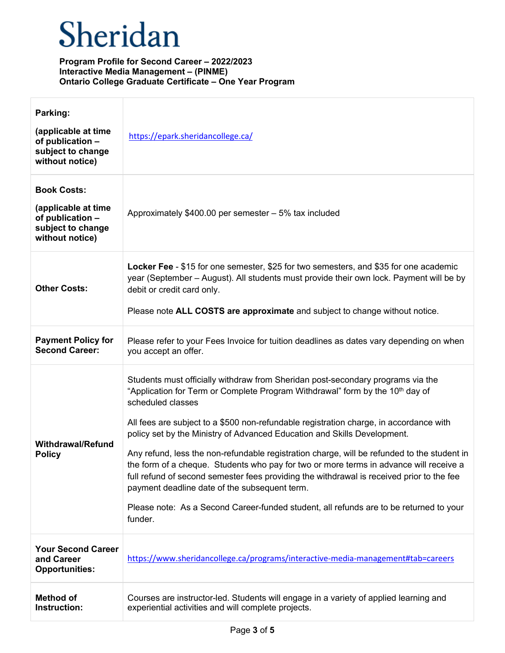| Parking:<br>(applicable at time<br>of publication -<br>subject to change<br>without notice)           | https://epark.sheridancollege.ca/                                                                                                                                                                                                                                                                                                                                                                                                                                                                                                                                                                                                                                                                                                                                                                                   |
|-------------------------------------------------------------------------------------------------------|---------------------------------------------------------------------------------------------------------------------------------------------------------------------------------------------------------------------------------------------------------------------------------------------------------------------------------------------------------------------------------------------------------------------------------------------------------------------------------------------------------------------------------------------------------------------------------------------------------------------------------------------------------------------------------------------------------------------------------------------------------------------------------------------------------------------|
| <b>Book Costs:</b><br>(applicable at time<br>of publication -<br>subject to change<br>without notice) | Approximately \$400.00 per semester - 5% tax included                                                                                                                                                                                                                                                                                                                                                                                                                                                                                                                                                                                                                                                                                                                                                               |
| <b>Other Costs:</b>                                                                                   | Locker Fee - \$15 for one semester, \$25 for two semesters, and \$35 for one academic<br>year (September – August). All students must provide their own lock. Payment will be by<br>debit or credit card only.<br>Please note ALL COSTS are approximate and subject to change without notice.                                                                                                                                                                                                                                                                                                                                                                                                                                                                                                                       |
| <b>Payment Policy for</b><br><b>Second Career:</b>                                                    | Please refer to your Fees Invoice for tuition deadlines as dates vary depending on when<br>you accept an offer.                                                                                                                                                                                                                                                                                                                                                                                                                                                                                                                                                                                                                                                                                                     |
| <b>Withdrawal/Refund</b><br><b>Policy</b>                                                             | Students must officially withdraw from Sheridan post-secondary programs via the<br>"Application for Term or Complete Program Withdrawal" form by the 10 <sup>th</sup> day of<br>scheduled classes<br>All fees are subject to a \$500 non-refundable registration charge, in accordance with<br>policy set by the Ministry of Advanced Education and Skills Development.<br>Any refund, less the non-refundable registration charge, will be refunded to the student in<br>the form of a cheque. Students who pay for two or more terms in advance will receive a<br>full refund of second semester fees providing the withdrawal is received prior to the fee<br>payment deadline date of the subsequent term.<br>Please note: As a Second Career-funded student, all refunds are to be returned to your<br>funder. |
| <b>Your Second Career</b><br>and Career<br><b>Opportunities:</b>                                      | https://www.sheridancollege.ca/programs/interactive-media-management#tab=careers                                                                                                                                                                                                                                                                                                                                                                                                                                                                                                                                                                                                                                                                                                                                    |
| <b>Method of</b><br>Instruction:                                                                      | Courses are instructor-led. Students will engage in a variety of applied learning and<br>experiential activities and will complete projects.                                                                                                                                                                                                                                                                                                                                                                                                                                                                                                                                                                                                                                                                        |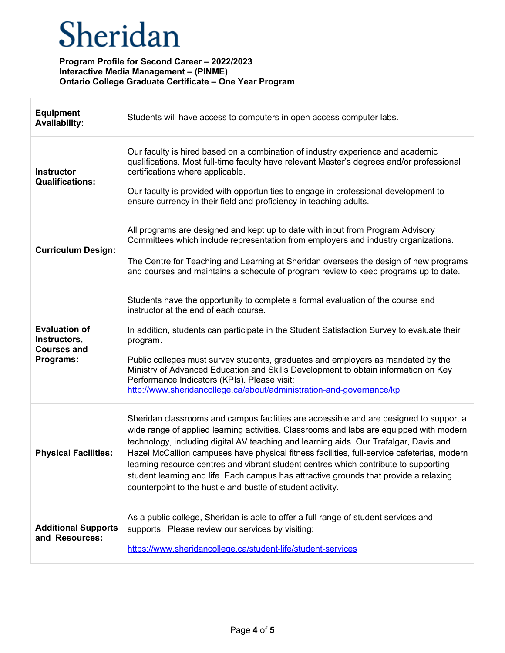| <b>Equipment</b><br><b>Availability:</b>                                | Students will have access to computers in open access computer labs.                                                                                                                                                                                                                                                                                                                                                                                                                                                                                                                                                    |
|-------------------------------------------------------------------------|-------------------------------------------------------------------------------------------------------------------------------------------------------------------------------------------------------------------------------------------------------------------------------------------------------------------------------------------------------------------------------------------------------------------------------------------------------------------------------------------------------------------------------------------------------------------------------------------------------------------------|
| <b>Instructor</b><br><b>Qualifications:</b>                             | Our faculty is hired based on a combination of industry experience and academic<br>qualifications. Most full-time faculty have relevant Master's degrees and/or professional<br>certifications where applicable.<br>Our faculty is provided with opportunities to engage in professional development to<br>ensure currency in their field and proficiency in teaching adults.                                                                                                                                                                                                                                           |
| <b>Curriculum Design:</b>                                               | All programs are designed and kept up to date with input from Program Advisory<br>Committees which include representation from employers and industry organizations.<br>The Centre for Teaching and Learning at Sheridan oversees the design of new programs<br>and courses and maintains a schedule of program review to keep programs up to date.                                                                                                                                                                                                                                                                     |
| <b>Evaluation of</b><br>Instructors,<br><b>Courses and</b><br>Programs: | Students have the opportunity to complete a formal evaluation of the course and<br>instructor at the end of each course.<br>In addition, students can participate in the Student Satisfaction Survey to evaluate their<br>program.<br>Public colleges must survey students, graduates and employers as mandated by the<br>Ministry of Advanced Education and Skills Development to obtain information on Key<br>Performance Indicators (KPIs). Please visit:<br>http://www.sheridancollege.ca/about/administration-and-governance/kpi                                                                                   |
| <b>Physical Facilities:</b>                                             | Sheridan classrooms and campus facilities are accessible and are designed to support a<br>wide range of applied learning activities. Classrooms and labs are equipped with modern<br>technology, including digital AV teaching and learning aids. Our Trafalgar, Davis and<br>Hazel McCallion campuses have physical fitness facilities, full-service cafeterias, modern<br>learning resource centres and vibrant student centres which contribute to supporting<br>student learning and life. Each campus has attractive grounds that provide a relaxing<br>counterpoint to the hustle and bustle of student activity. |
| <b>Additional Supports</b><br>and Resources:                            | As a public college, Sheridan is able to offer a full range of student services and<br>supports. Please review our services by visiting:<br>https://www.sheridancollege.ca/student-life/student-services                                                                                                                                                                                                                                                                                                                                                                                                                |